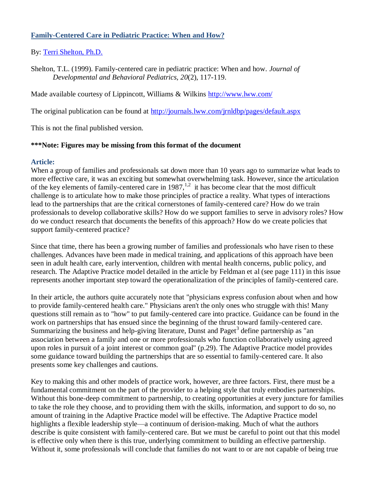## **Family-Centered Care in Pediatric Practice: When and How?**

### By: [Terri Shelton, Ph.D.](http://libres.uncg.edu/ir/clist.aspx?id=131)

Shelton, T.L. (1999). Family-centered care in pediatric practice: When and how. *Journal of Developmental and Behavioral Pediatrics, 20*(2), 117-119.

Made available courtesy of Lippincott, Williams & Wilkins<http://www.lww.com/>

The original publication can be found at<http://journals.lww.com/jrnldbp/pages/default.aspx>

This is not the final published version.

#### **\*\*\*Note: Figures may be missing from this format of the document**

#### **Article:**

When a group of families and professionals sat down more than 10 years ago to summarize what leads to more effective care, it was an exciting but somewhat overwhelming task. However, since the articulation of the key elements of family-centered care in  $1987$ ,<sup>1,2</sup> it has become clear that the most difficult challenge is to articulate how to make those principles of practice a reality. What types of interactions lead to the partnerships that are the critical cornerstones of family-centered care? How do we train professionals to develop collaborative skills? How do we support families to serve in advisory roles? How do we conduct research that documents the benefits of this approach? How do we create policies that support family-centered practice?

Since that time, there has been a growing number of families and professionals who have risen to these challenges. Advances have been made in medical training, and applications of this approach have been seen in adult health care, early intervention, children with mental health concerns, public policy, and research. The Adaptive Practice model detailed in the article by Feldman et al (see page 111) in this issue represents another important step toward the operationalization of the principles of family-centered care.

In their article, the authors quite accurately note that "physicians express confusion about when and how to provide family-centered health care." Physicians aren't the only ones who struggle with this! Many questions still remain as to "how" to put family-centered care into practice. Guidance can be found in the work on partnerships that has ensued since the beginning of the thrust toward family-centered care. Summarizing the business and help-giving literature, Dunst and Paget<sup>3</sup> define partnership as "an association between a family and one or more professionals who function collaboratively using agreed upon roles in pursuit of a joint interest or common goal" (p.29). The Adaptive Practice model provides some guidance toward building the partnerships that are so essential to family-centered care. It also presents some key challenges and cautions.

Key to making this and other models of practice work, however, are three factors. First, there must be a fundamental commitment on the part of the provider to a helping style that truly embodies partnerships. Without this bone-deep commitment to partnership, to creating opportunities at every juncture for families to take the role they choose, and to providing them with the skills, information, and support to do so, no amount of training in the Adaptive Practice model will be effective. The Adaptive Practice model highlights a flexible leadership style—a continuum of derision-making. Much of what the authors describe is quite consistent with family-centered care. But we must be careful to point out that this model is effective only when there is this true, underlying commitment to building an effective partnership. Without it, some professionals will conclude that families do not want to or are not capable of being true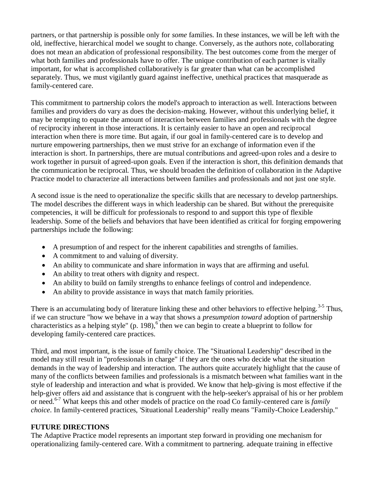partners, or that partnership is possible only for *some* families. In these instances, we will be left with the old, ineffective, hierarchical model we sought to change. Conversely, as the authors note, collaborating does not mean an abdication of professional responsibility. The best outcomes come from the merger of what both families and professionals have to offer. The unique contribution of each partner is vitally important, for what is accomplished collaboratively is far greater than what can be accomplished separately. Thus, we must vigilantly guard against ineffective, unethical practices that masquerade as family-centered care.

This commitment to partnership colors the model's approach to interaction as well. Interactions between families and providers do vary as does the decision-making. However, without this underlying belief, it may be tempting to equate the amount of interaction between families and professionals with the degree of reciprocity inherent in those interactions. It is certainly easier to have an open and reciprocal interaction when there is more time. But again, if our goal in family-centered care is to develop and nurture empowering partnerships, then we must strive for an exchange of information even if the interaction is short. In partnerships, there are mutual contributions and agreed-upon roles and a desire to work together in pursuit of agreed-upon goals. Even if the interaction is short, this definition demands that the communication be reciprocal. Thus, we should broaden the definition of collaboration in the Adaptive Practice model to characterize all interactions between families and professionals and not just one style.

A second issue is the need to operationalize the specific skills that are necessary to develop partnerships. The model describes the different ways in which leadership can be shared. But without the prerequisite competencies, it will be difficult for professionals to respond to and support this type of flexible leadership. Some of the beliefs and behaviors that have been identified as critical for forging empowering partnerships include the following:

- A presumption of and respect for the inherent capabilities and strengths of families.
- A commitment to and valuing of diversity.
- An ability to communicate and share information in ways that are affirming and useful.
- An ability to treat others with dignity and respect.
- An ability to build on family strengths to enhance feelings of control and independence.
- An ability to provide assistance in ways that match family priorities.

There is an accumulating body of literature linking these and other behaviors to effective helping.<sup>3-5</sup> Thus, if we can structure "how we behave in a way that shows a *presumption toward* adoption of partnership characteristics as a helping style"  $(p. 198)$ ,  $6$  then we can begin to create a blueprint to follow for developing family-centered care practices.

Third, and most important, is the issue of family choice. The "Situational Leadership" described in the model may still result in "professionals in charge" if they are the ones who decide what the situation demands in the way of leadership and interaction. The authors quite accurately highlight that the cause of many of the conflicts between families and professionals is a mismatch between what families want in the style of leadership and interaction and what is provided. We know that help-giving is most effective if the help-giver offers aid and assistance that is congruent with the help-seeker's appraisal of his or her problem or need.6-7 What keeps this and other models of practice on the road Co family-centered care is *family choice*. In family-centered practices, 'Situational Leadership" really means "Family-Choice Leadership."

### **FUTURE DIRECTIONS**

The Adaptive Practice model represents an important step forward in providing one mechanism for operationalizing family-centered care. With a commitment to partnering. adequate training in effective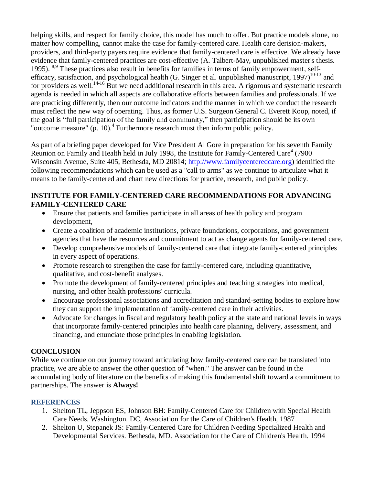helping skills, and respect for family choice, this model has much to offer. But practice models alone, no matter how compelling, cannot make the case for family-centered care. Health care derision-makers, providers, and third-party payers require evidence that family-centered care is effective. We already have evidence that family-centered practices are cost-effective (A. Talbert-May, unpublished master's thesis. 1995). <sup>8,9</sup> These practices also result in benefits for families in terms of family empowerment, selfefficacy, satisfaction, and psychological health (G. Singer et al. unpublished manuscript, 1997)<sup>10-13</sup> and for providers as well.<sup>14-16</sup> But we need additional research in this area. A rigorous and systematic research agenda is needed in which all aspects are collaborative efforts between families and professionals. If we are practicing differently, then our outcome indicators and the manner in which we conduct the research must reflect the new way of operating. Thus, as former U.S. Surgeon General C. Everett Koop, noted, if the goal is "full participation of the family and community," then participation should be its own "outcome measure" (p. 10).<sup>4</sup> Furthermore research must then inform public policy.

As part of a briefing paper developed for Vice President Al Gore in preparation for his seventh Family Reunion on Family and Health held in July 1998, the Institute for Family-Centered Care $4$  (7900) Wisconsin Avenue, Suite 405, Bethesda, MD 20814; [http://www.familycenteredcare.org\)](http://www.familycenteredcare.org/) identified the following recommendations which can be used as a "call to arms" as we continue to articulate what it means to be family-centered and chart new directions for practice, research, and public policy.

## **INSTITUTE FOR FAMILY-CENTERED CARE RECOMMENDATIONS FOR ADVANCING FAMILY-CENTERED CARE**

- Ensure that patients and families participate in all areas of health policy and program development,
- Create a coalition of academic institutions, private foundations, corporations, and government agencies that have the resources and commitment to act as change agents for family-centered care.
- Develop comprehensive models of family-centered care that integrate family-centered principles in every aspect of operations.
- Promote research to strengthen the case for family-centered care, including quantitative, qualitative, and cost-benefit analyses.
- Promote the development of family-centered principles and teaching strategies into medical, nursing, and other health professions' curricula.
- Encourage professional associations and accreditation and standard-setting bodies to explore how they can support the implementation of family-centered care in their activities.
- Advocate for changes in fiscal and regulatory health policy at the state and national levels in ways that incorporate family-centered principles into health care planning, delivery, assessment, and financing, and enunciate those principles in enabling legislation.

# **CONCLUSION**

While we continue on our journey toward articulating how family-centered care can be translated into practice, we are able to answer the other question of "when." The answer can be found in the accumulating body of literature on the benefits of making this fundamental shift toward a commitment to partnerships. The answer is **Always!**

### **REFERENCES**

- 1. Shelton TL, Jeppson ES, Johnson BH: Family-Centered Care for Children with Special Health Care Needs. Washington. DC, Association for the Care of Children's Health, 1987
- 2. Shelton U, Stepanek JS: Family-Centered Care for Children Needing Specialized Health and Developmental Services. Bethesda, MD. Association for the Care of Children's Health. 1994